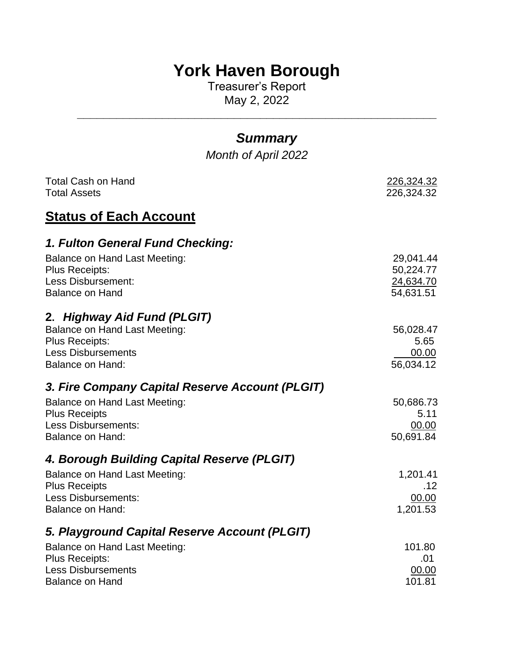# **York Haven Borough**

Treasurer's Report May 2, 2022

| <b>Summary</b>                                                                                                                                       |                                                  |
|------------------------------------------------------------------------------------------------------------------------------------------------------|--------------------------------------------------|
| <b>Month of April 2022</b>                                                                                                                           |                                                  |
| <b>Total Cash on Hand</b><br><b>Total Assets</b>                                                                                                     | 226,324.32<br>226,324.32                         |
| <b>Status of Each Account</b>                                                                                                                        |                                                  |
| 1. Fulton General Fund Checking:                                                                                                                     |                                                  |
| Balance on Hand Last Meeting:<br><b>Plus Receipts:</b><br>Less Disbursement:<br><b>Balance on Hand</b>                                               | 29,041.44<br>50,224.77<br>24,634.70<br>54,631.51 |
| 2. Highway Aid Fund (PLGIT)<br><b>Balance on Hand Last Meeting:</b><br><b>Plus Receipts:</b><br><b>Less Disbursements</b><br><b>Balance on Hand:</b> | 56,028.47<br>5.65<br>00.00<br>56,034.12          |
| 3. Fire Company Capital Reserve Account (PLGIT)                                                                                                      |                                                  |
| Balance on Hand Last Meeting:<br><b>Plus Receipts</b><br><b>Less Disbursements:</b><br><b>Balance on Hand:</b>                                       | 50,686.73<br>5.11<br>00.00<br>50,691.84          |
| 4. Borough Building Capital Reserve (PLGIT)                                                                                                          |                                                  |
| <b>Balance on Hand Last Meeting:</b><br><b>Plus Receipts</b><br><b>Less Disbursements:</b><br><b>Balance on Hand:</b>                                | 1,201.41<br>.12<br>00.00<br>1,201.53             |
| 5. Playground Capital Reserve Account (PLGIT)                                                                                                        |                                                  |
| <b>Balance on Hand Last Meeting:</b><br><b>Plus Receipts:</b><br><b>Less Disbursements</b><br><b>Balance on Hand</b>                                 | 101.80<br>.01<br>00.00<br>101.81                 |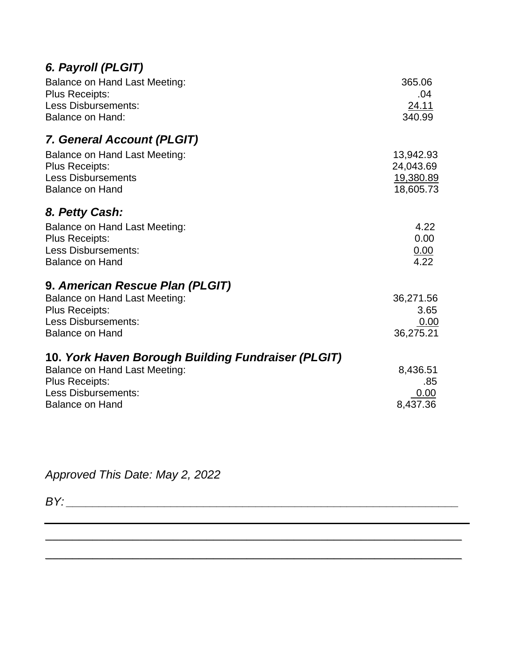| 6. Payroll (PLGIT) |  |
|--------------------|--|
|--------------------|--|

| Balance on Hand Last Meeting:<br><b>Plus Receipts:</b><br><b>Less Disbursements:</b><br><b>Balance on Hand:</b>                                                      | 365.06<br>.04<br><u>24.11</u><br>340.99   |
|----------------------------------------------------------------------------------------------------------------------------------------------------------------------|-------------------------------------------|
| 7. General Account (PLGIT)<br><b>Balance on Hand Last Meeting:</b><br><b>Plus Receipts:</b><br><b>Less Disbursements</b>                                             | 13,942.93<br>24,043.69<br>19,380.89       |
| <b>Balance on Hand</b><br>8. Petty Cash:<br>Balance on Hand Last Meeting:<br><b>Plus Receipts:</b><br>Less Disbursements:<br><b>Balance on Hand</b>                  | 18,605.73<br>4.22<br>0.00<br>0.00<br>4.22 |
| 9. American Rescue Plan (PLGIT)<br><b>Balance on Hand Last Meeting:</b><br><b>Plus Receipts:</b><br><b>Less Disbursements:</b><br><b>Balance on Hand</b>             | 36,271.56<br>3.65<br>0.00<br>36,275.21    |
| 10. York Haven Borough Building Fundraiser (PLGIT)<br><b>Balance on Hand Last Meeting:</b><br>Plus Receipts:<br><b>Less Disbursements:</b><br><b>Balance on Hand</b> | 8,436.51<br>.85<br>0.00<br>8,437.36       |

\_\_\_\_\_\_\_\_\_\_\_\_\_\_\_\_\_\_\_\_\_\_\_\_\_\_\_\_\_\_\_\_\_\_\_\_\_\_\_\_\_\_\_\_\_\_\_\_\_\_\_\_\_\_\_\_\_\_\_\_\_\_

\_\_\_\_\_\_\_\_\_\_\_\_\_\_\_\_\_\_\_\_\_\_\_\_\_\_\_\_\_\_\_\_\_\_\_\_\_\_\_\_\_\_\_\_\_\_\_\_\_\_\_\_\_\_\_\_\_\_\_\_\_\_

*Approved This Date: May 2, 2022*

*BY: \_\_\_\_\_\_\_\_\_\_\_\_\_\_\_\_\_\_\_\_\_\_\_\_\_\_\_\_\_\_\_\_\_\_\_\_\_\_\_\_\_\_\_\_\_\_\_\_\_\_\_\_\_\_\_\_\_\_\_\_*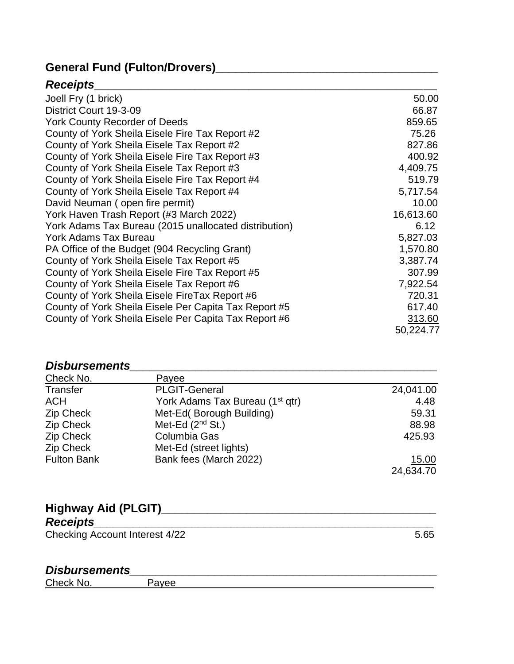## **General Fund (Fulton/Drovers)\_\_\_\_\_\_\_\_\_\_\_\_\_\_\_\_\_\_\_\_\_\_\_\_\_\_\_\_\_\_\_\_\_\_**

### *Receipts*\_\_\_\_\_\_\_\_\_\_\_\_\_\_\_\_\_\_\_\_\_\_\_\_\_\_\_\_\_\_\_\_\_\_\_\_\_\_\_\_\_\_\_\_\_\_\_\_\_\_\_

| Joell Fry (1 brick)                                   | 50.00     |
|-------------------------------------------------------|-----------|
| District Court 19-3-09                                | 66.87     |
| <b>York County Recorder of Deeds</b>                  | 859.65    |
| County of York Sheila Eisele Fire Tax Report #2       | 75.26     |
| County of York Sheila Eisele Tax Report #2            | 827.86    |
| County of York Sheila Eisele Fire Tax Report #3       | 400.92    |
| County of York Sheila Eisele Tax Report #3            | 4,409.75  |
| County of York Sheila Eisele Fire Tax Report #4       | 519.79    |
| County of York Sheila Eisele Tax Report #4            | 5,717.54  |
| David Neuman (open fire permit)                       | 10.00     |
| York Haven Trash Report (#3 March 2022)               | 16,613.60 |
| York Adams Tax Bureau (2015 unallocated distribution) | 6.12      |
| <b>York Adams Tax Bureau</b>                          | 5,827.03  |
| PA Office of the Budget (904 Recycling Grant)         | 1,570.80  |
| County of York Sheila Eisele Tax Report #5            | 3,387.74  |
| County of York Sheila Eisele Fire Tax Report #5       | 307.99    |
| County of York Sheila Eisele Tax Report #6            | 7,922.54  |
| County of York Sheila Eisele FireTax Report #6        | 720.31    |
| County of York Sheila Eisele Per Capita Tax Report #5 | 617.40    |
| County of York Sheila Eisele Per Capita Tax Report #6 | 313.60    |
|                                                       | 50,224.77 |

#### *Disbursements*

| Check No.          | Payee                                       |           |
|--------------------|---------------------------------------------|-----------|
| Transfer           | <b>PLGIT-General</b>                        | 24,041.00 |
| <b>ACH</b>         | York Adams Tax Bureau (1 <sup>st</sup> qtr) | 4.48      |
| Zip Check          | Met-Ed(Borough Building)                    | 59.31     |
| Zip Check          | Met-Ed $(2^{nd}$ St.)                       | 88.98     |
| Zip Check          | Columbia Gas                                | 425.93    |
| Zip Check          | Met-Ed (street lights)                      |           |
| <b>Fulton Bank</b> | Bank fees (March 2022)                      | 15.00     |
|                    |                                             | 24,634.70 |

## **Highway Aid (PLGIT)\_\_\_\_\_\_\_\_\_\_\_\_\_\_\_\_\_\_\_\_\_\_\_\_\_\_\_\_\_\_\_\_\_\_\_\_\_\_\_\_\_\_**

### *Receipts\_\_\_\_\_\_\_\_\_\_\_\_\_\_\_\_\_\_\_\_\_\_\_\_\_\_\_\_\_\_\_\_\_\_\_\_\_\_\_\_\_\_\_\_\_\_\_\_\_\_\_\_*

Checking Account Interest 4/22 5.65

### *Disbursements\_\_\_\_\_\_\_\_\_\_\_\_\_\_\_\_\_\_\_\_\_\_\_\_\_\_\_\_\_\_\_\_\_\_\_\_\_\_\_\_\_\_\_\_\_\_\_*

Check No. Payee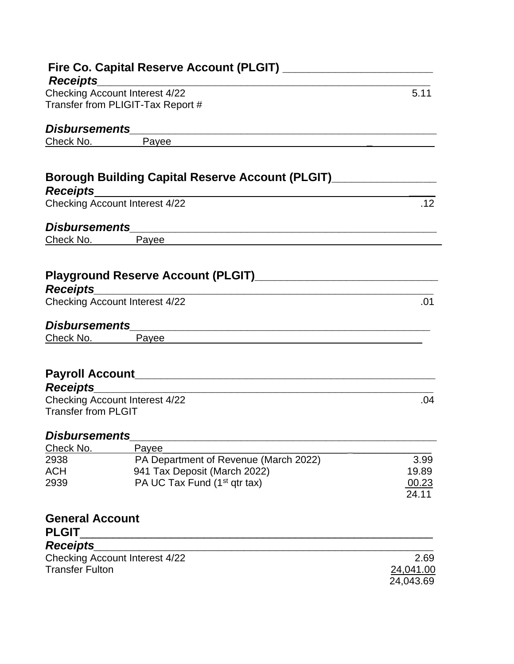| <b>Receipts</b>            |                                                                                                                      |           |
|----------------------------|----------------------------------------------------------------------------------------------------------------------|-----------|
|                            | <b>Checking Account Interest 4/22</b>                                                                                | 5.11      |
|                            | Transfer from PLIGIT-Tax Report #                                                                                    |           |
|                            |                                                                                                                      |           |
|                            | Check No. Payee Providence Check No.                                                                                 |           |
|                            |                                                                                                                      |           |
| <b>Receipts</b>            | Borough Building Capital Reserve Account (PLGIT)________________                                                     |           |
|                            | <b>Checking Account Interest 4/22</b>                                                                                | .12       |
|                            |                                                                                                                      |           |
| Check No.                  | Payee <b>Example 2018</b> Payee <b>Payee</b>                                                                         |           |
|                            |                                                                                                                      |           |
|                            |                                                                                                                      |           |
|                            |                                                                                                                      |           |
| <b>Receipts</b>            |                                                                                                                      |           |
|                            | Checking Account Interest 4/22                                                                                       | .01       |
|                            |                                                                                                                      |           |
| Check No.                  | Payee                                                                                                                |           |
|                            |                                                                                                                      |           |
|                            |                                                                                                                      |           |
|                            |                                                                                                                      |           |
| <b>Receipts</b>            | <u> 1989 - Johann John Stein, mars ar yw i brenin y brenin y brenin y brenin y brenin y brenin y brenin y brenin</u> |           |
| <b>Transfer from PLGIT</b> | <b>Checking Account Interest 4/22</b>                                                                                | .04       |
|                            |                                                                                                                      |           |
| <b>Disbursements</b>       |                                                                                                                      |           |
| Check No.                  | Payee                                                                                                                |           |
| 2938                       | PA Department of Revenue (March 2022)                                                                                | 3.99      |
| ACH                        | 941 Tax Deposit (March 2022)                                                                                         | 19.89     |
| 2939                       | PA UC Tax Fund (1 <sup>st</sup> qtr tax)                                                                             | 00.23     |
|                            |                                                                                                                      | 24.11     |
|                            |                                                                                                                      |           |
| <b>General Account</b>     |                                                                                                                      |           |
| <b>PLGIT</b>               |                                                                                                                      |           |
| <b>Receipts</b>            |                                                                                                                      |           |
| <b>Transfer Fulton</b>     | <b>Checking Account Interest 4/22</b>                                                                                | 2.69      |
|                            |                                                                                                                      | 24,041.00 |
|                            |                                                                                                                      | 24,043.69 |